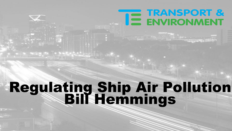# TE TRANSPORT &

 $\mathbb{R}^{\mathbb{N}}$  . The set of  $\mathbb{R}^{\mathbb{N}}$ 

### Regulating Ship Air Pollution Bill Hemmings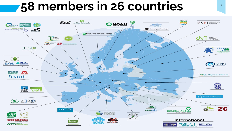#### <sup>2</sup> **58 members in 26 countries**

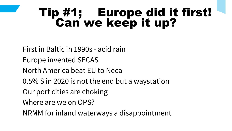#### Tip #1; Europe did it first! Can we keep it up?

First in Baltic in 1990s - acid rain Europe invented SECAS North America beat EU to Neca 0.5% S in 2020 is not the end but a waystation Our port cities are choking Where are we on OPS? NRMM for inland waterways a disappointment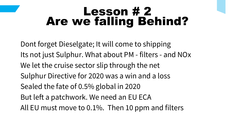#### Lesson # 2 Are we falling Behind?

Dont forget Dieselgate; It will come to shipping Its not just Sulphur. What about PM - filters - and NOx We let the cruise sector slip through the net Sulphur Directive for 2020 was a win and a loss Sealed the fate of 0.5% global in 2020 But left a patchwork. We need an EU ECA All EU must move to 0.1%. Then 10 ppm and filters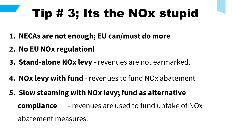## Tip # 3; Its the NOx stupid

- **1. NECAs are not enough; EU can/must do more**
- **2. No EU NOx regulation!**
- **3. Stand-alone NOx levy** revenues are not earmarked.
- **4. NOx levy with fund** revenues to fund NOx abatement
- **5. Slow steaming with NOx levy; fund as alternative compliance** - revenues are used to fund uptake of NOx abatement measures.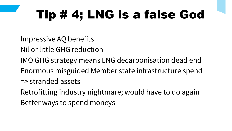## Tip # 4; LNG is a false God

Impressive AQ benefits

- Nil or little GHG reduction
- IMO GHG strategy means LNG decarbonisation dead end
- Enormous misguided Member state infrastructure spend
- => stranded assets
- Retrofitting industry nightmare; would have to do again

Better ways to spend moneys